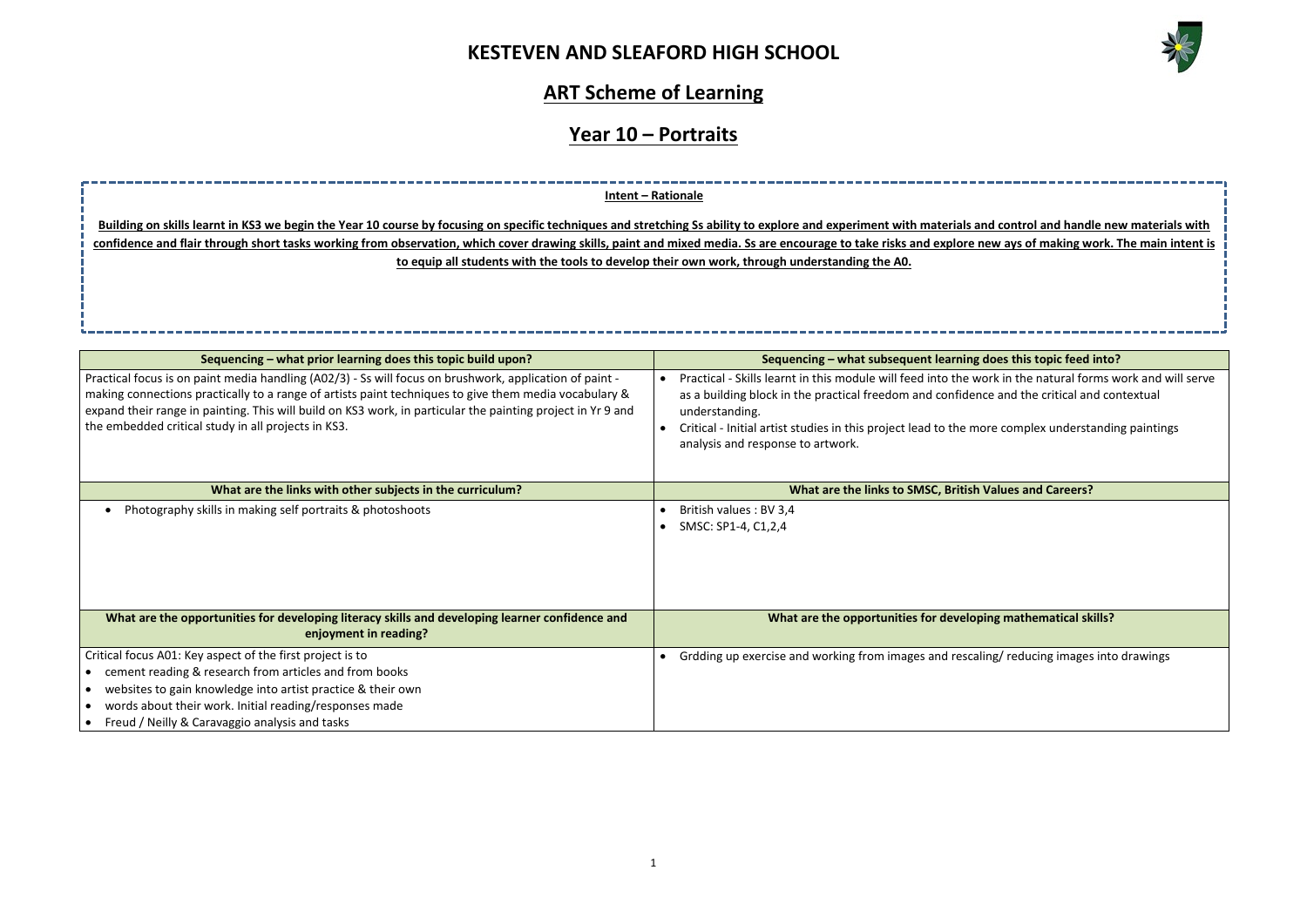### **KESTEVEN AND SLEAFORD HIGH SCHOOL**



### **Sequencing inding into does this topic feed into?**

erk in the natural forms work and will serve ce and the critical and contextual

re complex understanding paintings

**What with Subsets in the Careers?** 

**Mathematical skills?** 

ing/ reducing images into drawings

### **ART Scheme of Learning**

### **Year 10 – Portraits**

| Sequencing – what prior learning does this topic build upon?                                                                                                                                                                                                                                                                                                                           | Sequencing - what subsequent learning o                                                                                                                                                                                                                 |  |  |
|----------------------------------------------------------------------------------------------------------------------------------------------------------------------------------------------------------------------------------------------------------------------------------------------------------------------------------------------------------------------------------------|---------------------------------------------------------------------------------------------------------------------------------------------------------------------------------------------------------------------------------------------------------|--|--|
| Practical focus is on paint media handling (A02/3) - Ss will focus on brushwork, application of paint -<br>making connections practically to a range of artists paint techniques to give them media vocabulary &<br>expand their range in painting. This will build on KS3 work, in particular the painting project in Yr 9 and<br>the embedded critical study in all projects in KS3. | Practical - Skills learnt in this module will feed into the wo<br>as a building block in the practical freedom and confidenc<br>understanding.<br>Critical - Initial artist studies in this project lead to the mo<br>analysis and response to artwork. |  |  |
| What are the links with other subjects in the curriculum?                                                                                                                                                                                                                                                                                                                              | What are the links to SMSC, British \                                                                                                                                                                                                                   |  |  |
| Photography skills in making self portraits & photoshoots                                                                                                                                                                                                                                                                                                                              | British values : BV 3,4<br>SMSC: SP1-4, C1,2,4                                                                                                                                                                                                          |  |  |
| What are the opportunities for developing literacy skills and developing learner confidence and<br>enjoyment in reading?                                                                                                                                                                                                                                                               | What are the opportunities for developi                                                                                                                                                                                                                 |  |  |
| Critical focus A01: Key aspect of the first project is to<br>cement reading & research from articles and from books<br>websites to gain knowledge into artist practice & their own<br>words about their work. Initial reading/responses made<br>Freud / Neilly & Caravaggio analysis and tasks                                                                                         | Grdding up exercise and working from images and rescali                                                                                                                                                                                                 |  |  |

**Intent – Rationale**

**Building on skills learnt in KS3 we begin the Year 10 course by focusing on specific techniques and stretching Ss ability to explore and experiment with materials and control and handle new materials with confidence and flair through short tasks working from observation, which cover drawing skills, paint and mixed media. Ss are encourage to take risks and explore new ays of making work. The main intent is to equip all students with the tools to develop their own work, through understanding the A0.**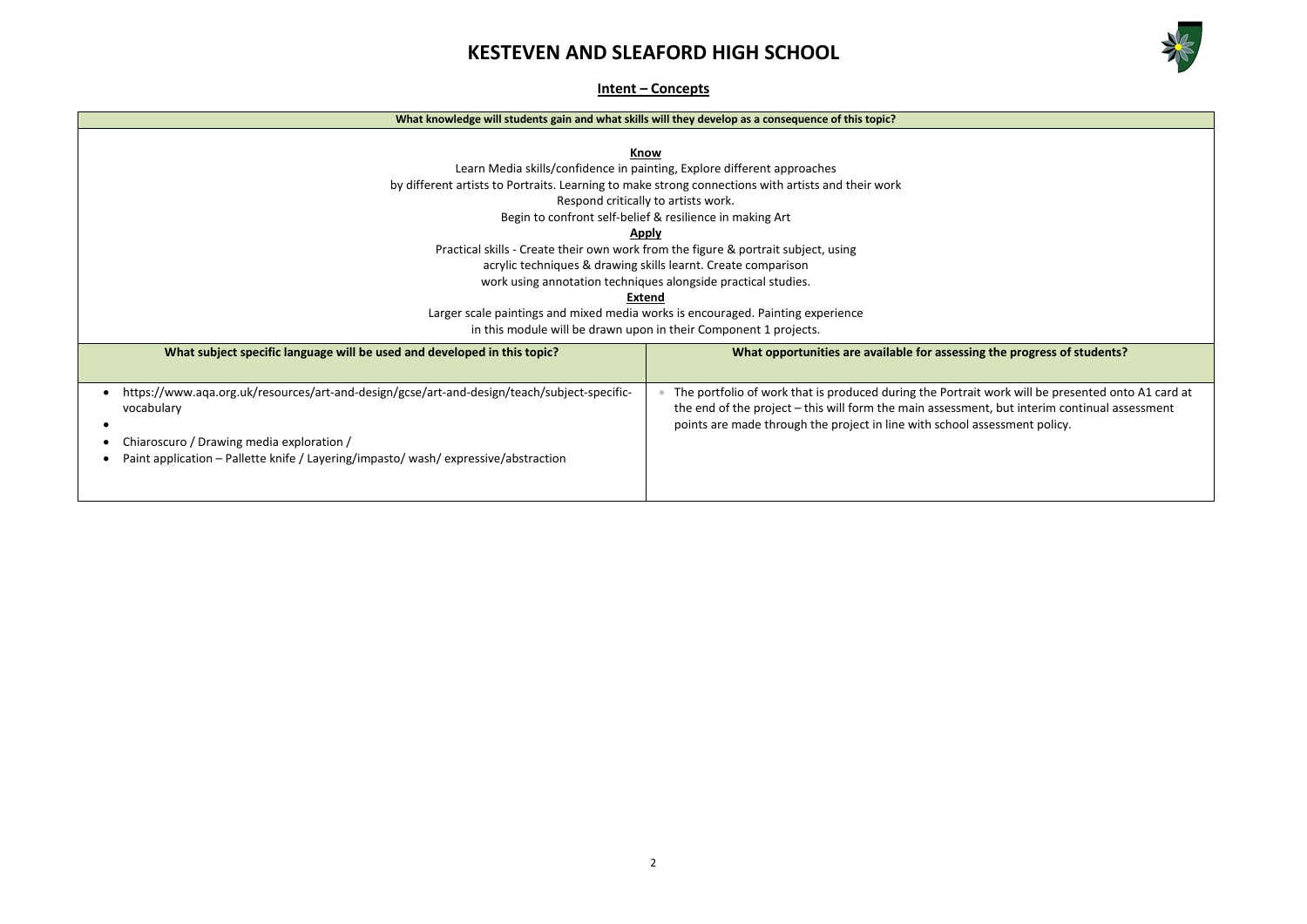# **KESTEVEN AND SLEAFORD HIGH SCHOOL**



### **g** the progress of students?

 $\alpha$  work will be presented onto A1 card at the end of the processes assessment, but interim continual assessment ssessment policy.

**Intent – Concepts**

| What knowledge will students gain and what skills will they develop as a consequence of this topic?                                                                                                                                           |                                                                                                                                                                                                                                                                                                                                                                                                                                                                                                                                                                                                                                                                                                   |  |  |
|-----------------------------------------------------------------------------------------------------------------------------------------------------------------------------------------------------------------------------------------------|---------------------------------------------------------------------------------------------------------------------------------------------------------------------------------------------------------------------------------------------------------------------------------------------------------------------------------------------------------------------------------------------------------------------------------------------------------------------------------------------------------------------------------------------------------------------------------------------------------------------------------------------------------------------------------------------------|--|--|
|                                                                                                                                                                                                                                               | <b>Know</b><br>Learn Media skills/confidence in painting, Explore different approaches<br>by different artists to Portraits. Learning to make strong connections with artists and their work<br>Respond critically to artists work.<br>Begin to confront self-belief & resilience in making Art<br>Apply<br>Practical skills - Create their own work from the figure & portrait subject, using<br>acrylic techniques & drawing skills learnt. Create comparison<br>work using annotation techniques alongside practical studies.<br>Extend<br>Larger scale paintings and mixed media works is encouraged. Painting experience<br>in this module will be drawn upon in their Component 1 projects. |  |  |
| What subject specific language will be used and developed in this topic?                                                                                                                                                                      | What opportunities are available for assessing                                                                                                                                                                                                                                                                                                                                                                                                                                                                                                                                                                                                                                                    |  |  |
| https://www.aqa.org.uk/resources/art-and-design/gcse/art-and-design/teach/subject-specific-<br>vocabulary<br>Chiaroscuro / Drawing media exploration /<br>Paint application – Pallette knife / Layering/impasto/ wash/ expressive/abstraction | The portfolio of work that is produced during the Portrait<br>the end of the project - this will form the main assessmen<br>points are made through the project in line with school as                                                                                                                                                                                                                                                                                                                                                                                                                                                                                                            |  |  |